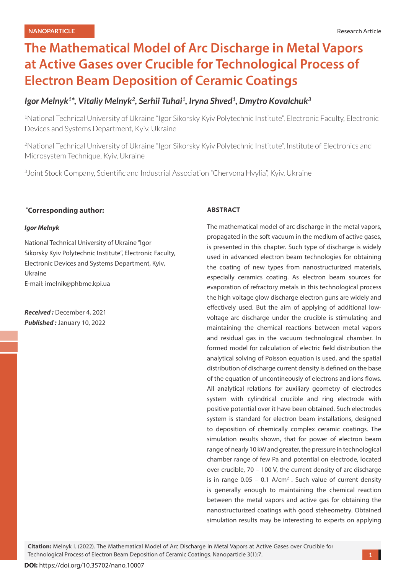# **The Mathematical Model of Arc Discharge in Metal Vapors at Active Gases over Crucible for Technological Process of Electron Beam Deposition of Ceramic Coatings**

# *Igor Melnyk1\*, Vitaliy Melnyk2, Serhii Tuhai1, Iryna Shved1, Dmytro Kovalchuk3*

1National Technical University of Ukraine "Igor Sikorsky Kyiv Polytechnic Institute", Electronic Faculty, Electronic Devices and Systems Department, Kyiv, Ukraine

2National Technical University of Ukraine "Igor Sikorsky Kyiv Polytechnic Institute", Institute of Electronics and Microsystem Technique, Kyiv, Ukraine

<sup>3</sup> Joint Stock Company, Scientific and Industrial Association "Chervona Hvylia", Kyiv, Ukraine

# **\* Corresponding author:**

### *Igor Melnyk*

National Technical University of Ukraine "Igor Sikorsky Kyiv Polytechnic Institute", Electronic Faculty, Electronic Devices and Systems Department, Kyiv, Ukraine E-mail: imelnik@phbme.kpi.ua

*Received :* December 4, 2021 *Published :* January 10, 2022

## **ABSTRACT**

The mathematical model of arc discharge in the metal vapors, propagated in the soft vacuum in the medium of active gases, is presented in this chapter. Such type of discharge is widely used in advanced electron beam technologies for obtaining the coating of new types from nanostructurized materials, especially ceramics coating. As electron beam sources for evaporation of refractory metals in this technological process the high voltage glow discharge electron guns are widely and effectively used. But the aim of applying of additional lowvoltage arc discharge under the crucible is stimulating and maintaining the chemical reactions between metal vapors and residual gas in the vacuum technological chamber. In formed model for calculation of electric field distribution the analytical solving of Poisson equation is used, and the spatial distribution of discharge current density is defined on the base of the equation of uncontineously of electrons and ions flows. All analytical relations for auxiliary geometry of electrodes system with cylindrical crucible and ring electrode with positive potential over it have been obtained. Such electrodes system is standard for electron beam installations, designed to deposition of chemically complex ceramic coatings. The simulation results shown, that for power of electron beam range of nearly 10 kW and greater, the pressure in technological chamber range of few Pa and potential on electrode, located over crucible, 70 – 100 V, the current density of arc discharge is in range  $0.05 - 0.1$  A/cm<sup>2</sup>. Such value of current density is generally enough to maintaining the chemical reaction between the metal vapors and active gas for obtaining the nanostructurized coatings with good steheometry. Obtained simulation results may be interesting to experts on applying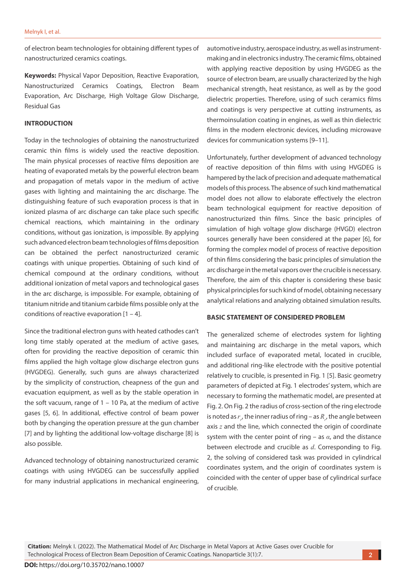of electron beam technologies for obtaining different types of nanostructurized ceramics coatings.

**Keywords:** Physical Vapor Deposition, Reactive Evaporation, Nanostructurized Ceramics Coatings, Electron Beam Evaporation, Arc Discharge, High Voltage Glow Discharge, Residual Gas

## **INTRODUCTION**

Today in the technologies of obtaining the nanostructurized ceramic thin films is widely used the reactive deposition. The main physical processes of reactive films deposition are heating of evaporated metals by the powerful electron beam and propagation of metals vapor in the medium of active gases with lighting and maintaining the arc discharge. The distinguishing feature of such evaporation process is that in ionized plasma of arc discharge can take place such specific chemical reactions, which maintaining in the ordinary conditions, without gas ionization, is impossible. By applying such advanced electron beam technologies of films deposition can be obtained the perfect nanostructurized ceramic coatings with unique properties. Obtaining of such kind of chemical compound at the ordinary conditions, without additional ionization of metal vapors and technological gases in the arc discharge, is impossible. For example, obtaining of titanium nitride and titanium carbide films possible only at the conditions of reactive evaporation  $[1 - 4]$ .

Since the traditional electron guns with heated cathodes can't long time stably operated at the medium of active gases, often for providing the reactive deposition of ceramic thin films applied the high voltage glow discharge electron guns (HVGDEG). Generally, such guns are always characterized by the simplicity of construction, cheapness of the gun and evacuation equipment, as well as by the stable operation in the soft vacuum, range of  $1 - 10$  Pa, at the medium of active gases [5, 6]. In additional, effective control of beam power both by changing the operation pressure at the gun chamber [7] and by lighting the additional low-voltage discharge [8] is also possible.

Advanced technology of obtaining nanostructurized ceramic coatings with using HVGDEG can be successfully applied for many industrial applications in mechanical engineering,

automotive industry, aerospace industry, as well as instrumentmaking and in electronics industry. The ceramic films, obtained with applying reactive deposition by using HVGDEG as the source of electron beam, are usually characterized by the high mechanical strength, heat resistance, as well as by the good dielectric properties. Therefore, using of such ceramics films and coatings is very perspective at cutting instruments, as thermoinsulation coating in engines, as well as thin dielectric films in the modern electronic devices, including microwave devices for communication systems [9–11].

Unfortunately, further development of advanced technology of reactive deposition of thin films with using HVGDEG is hampered by the lack of precision and adequate mathematical models of this process. The absence of such kind mathematical model does not allow to elaborate effectively the electron beam technological equipment for reactive deposition of nanostructurized thin films. Since the basic principles of simulation of high voltage glow discharge (HVGD) electron sources generally have been considered at the paper [6], for forming the complex model of process of reactive deposition of thin films considering the basic principles of simulation the arc discharge in the metal vapors over the crucible is necessary. Therefore, the aim of this chapter is considering these basic physical principles for such kind of model, obtaining necessary analytical relations and analyzing obtained simulation results.

#### **BASIC STATEMENT OF CONSIDERED PROBLEM**

The generalized scheme of electrodes system for lighting and maintaining arc discharge in the metal vapors, which included surface of evaporated metal, located in crucible, and additional ring-like electrode with the positive potential relatively to crucible, is presented in Fig. 1 [5]. Basic geometry parameters of depicted at Fig. 1 electrodes' system, which are necessary to forming the mathematic model, are presented at Fig. 2. On Fig. 2 the radius of cross-section of the ring electrode is noted as  $r_{p}$  the inner radius of ring – as  $R_{p}$  the angle between axis *z* and the line, which connected the origin of coordinate system with the center point of ring – as *α*, and the distance between electrode and crucible as *d*. Corresponding to Fig. 2, the solving of considered task was provided in cylindrical coordinates system, and the origin of coordinates system is coincided with the center of upper base of cylindrical surface of crucible.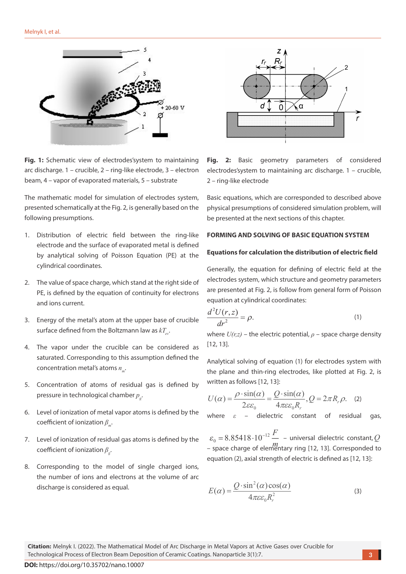

**Fig. 1:** Schematic view of electrodes'system to maintaining arc discharge. 1 – crucible, 2 – ring-like electrode, 3 – electron beam, 4 – vapor of evaporated materials, 5 – substrate

The mathematic model for simulation of electrodes system, presented schematically at the Fig. 2, is generally based on the following presumptions.

- 1. Distribution of electric field between the ring-like electrode and the surface of evaporated metal is defined by analytical solving of Poisson Equation (PE) at the cylindrical coordinates.
- 2. The value of space charge, which stand at the right side of PE, is defined by the equation of continuity for electrons and ions current.
- 3. Energy of the metal's atom at the upper base of crucible surface defined from the Boltzmann law as  $kT$ .
- 4. The vapor under the crucible can be considered as saturated. Corresponding to this assumption defined the concentration metal's atoms  $n_m$ .
- 5. Concentration of atoms of residual gas is defined by pressure in technological chamber *pg* .
- 6. Level of ionization of metal vapor atoms is defined by the coefficient of ionization  $β<sub>m</sub>$ .
- 7. Level of ionization of residual gas atoms is defined by the coefficient of ionization *β<sup>g</sup>* .
- 8. Corresponding to the model of single charged ions, the number of ions and electrons at the volume of arc discharge is considered as equal.



**Fig. 2:** Basic geometry parameters of considered electrodes'system to maintaining arc discharge. 1 – crucible, 2 – ring-like electrode

Basic equations, which are corresponded to described above physical presumptions of considered simulation problem, will be presented at the next sections of this chapter.

#### **FORMING AND SOLVING OF BASIC EQUATION SYSTEM**

#### **Equations for calculation the distribution of electric field**

Generally, the equation for defining of electric field at the electrodes system, which structure and geometry parameters are presented at Fig. 2, is follow from general form of Poisson equation at cylindrical coordinates:

$$
\frac{d^2U(r,z)}{dr^2} = \rho.
$$
 (1)

where  $U(r,z)$  – the electric potential,  $\rho$  – space charge density [12, 13].

Analytical solving of equation (1) for electrodes system with the plane and thin-ring electrodes, like plotted at Fig. 2, is written as follows [12, 13]:

$$
U(\alpha) = \frac{\rho \cdot \sin(\alpha)}{2\varepsilon \varepsilon_0} = \frac{Q \cdot \sin(\alpha)}{4\pi\varepsilon \varepsilon_0 R_r}, Q = 2\pi R_r \rho.
$$
 (2)

where *ε* – dielectric constant of residual gas,

 $\sigma_0 = 8.85418 \cdot 10^{-12} \frac{F}{m}$  – universal dielectric constant, Q *m* – space charge of elementary ring [12, 13]. Corresponded to equation (2), axial strength of electric is defined as [12, 13]:

$$
E(\alpha) = \frac{Q \cdot \sin^2(\alpha) \cos(\alpha)}{4\pi \varepsilon \varepsilon_0 R_r^2}
$$
 (3)

**Citation:** Melnyk I. (2022). The Mathematical Model of Arc Discharge in Metal Vapors at Active Gases over Crucible for Technological Process of Electron Beam Deposition of Ceramic Coatings. Nanoparticle 3(1):7.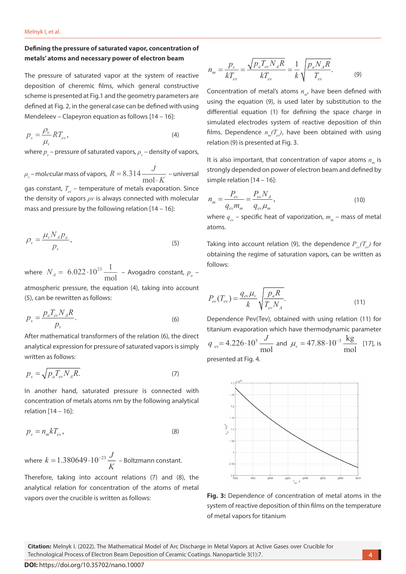# **Defining the pressure of saturated vapor, concentration of metals' atoms and necessary power of electron beam**

The pressure of saturated vapor at the system of reactive deposition of cheremic films, which general constructive scheme is presented at Fig.1 and the geometry parameters are defined at Fig. 2, in the general case can be defined with using Mendeleev – Clapeyron equation as follows [14 – 16]:

$$
p_s = \frac{\rho_v}{\mu_v} R T_{ev},\tag{4}
$$

where  $p_{\textit{s}}$  – pressure of saturated vapors,  $\rho_{\textit{v}}$  – density of vapors,

 $\mu_{_{\rm v}}$ – mol*e*cular mass of vapors,  $R=8.314$ mol  $R = 8.314 \frac{J}{\text{mol} \cdot K}$  – universal gas constant,  $T_{\text{m}}$  – temperature of metals evaporation. Since the density of vapors *ρv* is always connected with molecular mass and pressure by the following relation [14 – 16]:

$$
\rho_{\nu} = \frac{\mu_{\nu} N_A p_a}{p_s},\tag{5}
$$

where  $N_A = 6.022 \cdot 10^{23}$ m 6.022 l  $10^{23}$   $-1$  $N_A = 6.022 \cdot 10^{23} \frac{1}{\text{mol}}$  – Avogadro constant,  $p_a$  –

atmospheric pressure, the equation (4), taking into account (5), can be rewritten as follows:

$$
p_s = \frac{p_a T_{ev} N_A R}{p_s}.\tag{6}
$$

After mathematical transformers of the relation (6), the direct analytical expression for pressure of saturated vapors is simply written as follows:

$$
p_s = \sqrt{p_a T_{ev} N_A R}.\tag{7}
$$

In another hand, saturated pressure is connected with concentration of metals atoms nm by the following analytical relation [14 – 16]:

$$
p_s = n_m k T_{ev},\tag{8}
$$

where  $k = 1.380649 \cdot 10^{-23} \frac{J}{I}$ *K*  $= 1.380649 \cdot 10^{-23} \frac{J}{I}$  – Boltzmann constant.

Therefore, taking into account relations (7) and (8), the analytical relation for concentration of the atoms of metal vapors over the crucible is written as follows:

$$
n_{m} = \frac{p_{s}}{kT_{ev}} = \frac{\sqrt{p_{a}T_{ev}N_{A}R}}{kT_{ev}} = \frac{1}{k}\sqrt{\frac{p_{a}N_{A}R}{T_{ev}}}.
$$
 (9)

Concentration of metal's atoms  $n_{m}$ , have been defined with using the equation (9), is used later by substitution to the differential equation (1) for defining the space charge in simulated electrodes system of reactive deposition of thin films. Dependence  $n_m(T_a)$ , have been obtained with using relation (9) is presented at Fig. 3.

It is also important, that concentration of vapor atoms  $n_m$  is strongly depended on power of electron beam and defined by simple relation [14 – 16]:

$$
n_m = \frac{P_{ev}}{q_{ev} m_m} = \frac{P_{ev} N_A}{q_{ev} \mu_m},
$$
\n(10)

where  $q_{av}$  – specific heat of vaporization,  $m_{av}$  – mass of metal atoms.

Taking into account relation (9), the dependence  $P_{m}(T_{m})$  for obtaining the regime of saturation vapors, can be written as follows:

$$
P_{ev}(T_{ev}) = \frac{q_{ev}\mu_v}{k} \sqrt{\frac{p_a R}{T_{ev} N_A}}.
$$
\n(11)

Dependence Pev(Tev), obtained with using relation (11) for titanium evaporation which have thermodynamic parameter  $4.226 \cdot 10^5$  $e^{v}$ <sup>-1.220</sup> <sup>nol</sup> mol  $q_{ev} = 4.226 \cdot 10^5 \frac{J}{m}$  and  $\mu_v = 47.88 \cdot 10^{-3} \frac{\text{kg}}{\text{m}}$  $\mu_v = 47.88 \cdot 10^{-3} \frac{\text{kg}}{\text{mol}}$  [17], is presented at Fig. 4.

 $. 10$ Ĩ,  $10!$  $0.95$  $0.9$ 



**Citation:** Melnyk I. (2022). The Mathematical Model of Arc Discharge in Metal Vapors at Active Gases over Crucible for Technological Process of Electron Beam Deposition of Ceramic Coatings. Nanoparticle 3(1):7.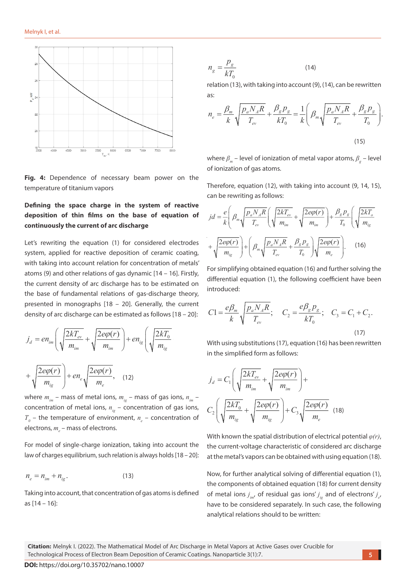

**Fig. 4:** Dependence of necessary beam power on the temperature of titanium vapors

# **Defining the space charge in the system of reactive deposition of thin films on the base of equation of continuously the current of arc discharge**

Let's rewriting the equation (1) for considered electrodes  $+\sqrt{\frac{2e\varphi(r)}{m_{ig}}}\Bigg)+\Bigg(\beta_m\sqrt{\frac{p_aN_A R}{T_{ev}}}+\frac{\beta_g p_g}{T_0}\Bigg)\sqrt{\frac{2e\varphi(r)}{m_e}}\Bigg)$ <br>system, applied for reactive deposition of ceramic coating, system, applied for reactive deposition of ceramic coating,  $\bigvee m_{ig}$   $\bigvee m_{ig}$   $\bigwedge m_{g}$   $T_{ev}$   $T_0$ with taking into account relation for concentration of metals' atoms (9) and other relations of gas dynamic [14 – 16]. Firstly, the current density of arc discharge has to be estimated on the base of fundamental relations of gas-discharge theory, presented in monographs [18 – 20]. Generally, the current density of arc discharge can be estimated as follows [18 – 20]: *m m*

$$
j_{d} = en_{im} \left( \sqrt{\frac{2kT_{ev}}{m_{im}}} + \sqrt{\frac{2e\varphi(r)}{m_{im}}} \right) + en_{ig} \left( \sqrt{\frac{2kT_{0}}{m_{ig}}} \right)
$$
With using substitu  
in the simplified for  

$$
+ \sqrt{\frac{2e\varphi(r)}{m_{ig}}} + en_{e} \sqrt{\frac{2e\varphi(r)}{m_{e}}},
$$
 (12) 
$$
j_{d} = C_{1} \left( \sqrt{\frac{2kT_{ev}}{m_{im}}} \right)
$$

where  $m_{im}$  – mass of metal ions,  $m_{ig}$  – mass of gas ions,  $n_{im}$  – concentration of metal ions,  $n_{ig}$  – concentration of gas ions,  $C_2\left(\sqrt{\frac{2kT_0}{m}}+\sqrt{\frac{2e\varphi(r)}{m}}\right)+C_3\sqrt{\frac{2e\varphi(r)}{m}}$  $T_0$  – the temperature of environment,  $n_e$  – concentration of  $\left(\bigvee m_{ig}$   $m_{ig}\right)$   $m_{ig}$ electrons,  $m_{e}$  – mass of electrons.  $\left[1-\text{concentration of gas ions}, \quad C_2\right]_4\left[\frac{2\kappa\mu_0}{\mu_0}+\frac{2\epsilon\varphi(\kappa)}{\mu_0}\right]+$ 

For model of single-charge ionization, taking into account the law of charges equilibrium, such relation is always holds [18 – 20]:

$$
n_e = n_{im} + n_{ig}.
$$
 (13)

Taking into account, that concentration of gas atoms is defined as [14 – 16]:

$$
n_g = \frac{p_g}{kT_0} \tag{14}
$$

relation (13), with taking into account (9), (14), can be rewritten as:

$$
n_e = \frac{\beta_m}{k} \sqrt{\frac{p_a N_A R}{T_{ev}}} + \frac{\beta_g p_g}{kT_0} = \frac{1}{k} \left( \beta_m \sqrt{\frac{p_a N_A R}{T_{ev}}} + \frac{\beta_g p_g}{T_0} \right).
$$
\n(15)

where  $\beta_{\scriptscriptstyle m}$  – level of ionization of metal vapor atoms,  $\beta_{\scriptscriptstyle g}$  – level of ionization of gas atoms.

Therefore, equation (12), with taking into account (9, 14, 15), can be rewriting as follows:

**fillms on the base of equation of** 
$$
jd = \frac{e}{k} \left( \beta_m \sqrt{\frac{p_a N_A R}{T_{ev}}} \left( \sqrt{\frac{2kT_{ev}}{m_{im}}} + \sqrt{\frac{2e\varphi(r)}{m_{im}}} \right) + \frac{\beta_g p_g}{T_0} \left( \sqrt{\frac{2kT_o}{m_{ig}}} \right) \right)
$$

For simplifying obtained equation (16) and further solving the differential equation (1), the following coefficient have been introduced:

$$
C1 = \frac{e\beta_m}{k} \sqrt{\frac{p_a N_A R}{T_{ev}}}; \quad C_2 = \frac{e\beta_g p_g}{kT_0}; \quad C_3 = C_1 + C_2.
$$
\n(17)

*d im ig e mm mm m* With using substitutions (17), equation (16) has been rewritten in the simplified form as follows:

$$
j_d = C_1 \left( \sqrt{\frac{2kT_{ev}}{m_{im}}} + \sqrt{\frac{2e\varphi(r)}{m_{im}}} \right) +
$$
  

$$
C_2 \left( \sqrt{\frac{2kT_0}{m_{ig}}} + \sqrt{\frac{2e\varphi(r)}{m_{ig}}} \right) + C_3 \sqrt{\frac{2e\varphi(r)}{m_e}} \quad (18)
$$

With known the spatial distribution of electrical potential *φ(r)*, the current-voltage characteristic of considered arc discharge at the metal's vapors can be obtained with using equation (18).

Now, for further analytical solving of differential equation (1), the components of obtained equation (18) for current density of metal ions  $j_{_{im'}}$  of residual gas ions'  $j_{_{ig}}$  and of electrons'  $j_{_{e'}}$ have to be considered separately. In such case, the following analytical relations should to be written: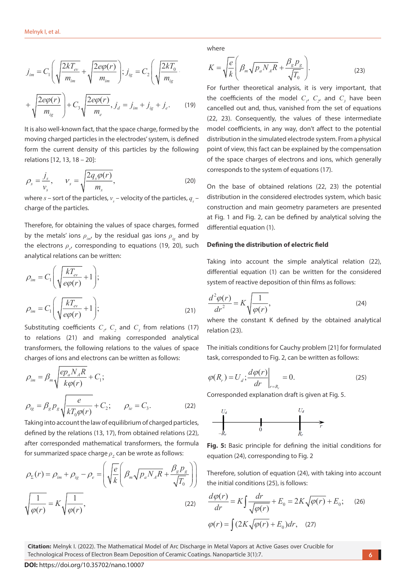$$
j_{im} = C_1 \left( \sqrt{\frac{2kT_{ev}}{m_{im}}} + \sqrt{\frac{2e\varphi(r)}{m_{im}}} \right); j_{ig} = C_2 \left( \sqrt{\frac{2kT_0}{m_{ig}}} \right)
$$
  
\n
$$
K = \sqrt{\frac{e}{k}} \left( \beta_m \sqrt{p_a N_A R} + \frac{\beta_g p_g}{\sqrt{T_0}} \right)
$$
  
\nFor further theoretical analysis, it is   
\nthe coefficients of the model  $C_1$ ,  $C_2$ ,  
\n $m_{ig}$   
\n(19)  
\n(22, 23). Consequently, the values of

It is also well-known fact, that the space charge, formed by the moving charged particles in the electrodes' system, is defined form the current density of this particles by the following relations [12, 13, 18 – 20]:

$$
\rho_s = \frac{j_s}{v_s}, \qquad v_s = \sqrt{\frac{2q_s \varphi(r)}{m_s}}, \tag{20}
$$

where  $s$  – sort of the particles,  $v_s$  – velocity of the particles,  $q_s$  – charge of the particles.

Therefore, for obtaining the values of space charges, formed by the metals' ions  $\rho_{\mu\nu}$  by the residual gas ions  $\rho_{\mu}$  and by the electrons  $ρ_{e'}$  corresponding to equations (19, 20), such analytical relations can be written:

$$
\rho_{im} = C_1 \left( \sqrt{\frac{kT_{ev}}{e\varphi(r)}} + 1 \right);
$$
diffe  
\n
$$
\rho_{im} = C_1 \left( \sqrt{\frac{kT_{ev}}{e\varphi(r)}} + 1 \right);
$$

Substituting coefficients  $C_i$ ,  $C_2$  and  $C_3$  from relations (17) to relations (21) and making corresponded analytical transformers, the following relations to the values of space charges of ions and electrons can be written as follows:

$$
\rho_{im} = \beta_m \sqrt{\frac{ep_a N_A R}{k\rho(r)}} + C_1; \qquad \qquad \rho(R_r) = U
$$
\n
$$
\rho_{ig} = \beta_g p_g \sqrt{\frac{e}{kT_0 \rho(r)}} + C_2; \qquad \rho_{ie} = C_3. \qquad (22)
$$
\n
$$
\text{Correspond}
$$

Taking into account the law of equilibrium of charged particles, defined by the relations (13, 17), from obtained relations (22), after corresponded mathematical transformers, the formula for summarized space charge *ρ<sub>Σ</sub>* can be wrote as follows:

$$
\rho_{\Sigma}(r) = \rho_{im} + \rho_{ig} - \rho_e = \left( \sqrt{\frac{e}{k}} \left( \beta_m \sqrt{p_a N_A R} + \frac{\beta_g p_g}{\sqrt{T_0}} \right) \right) \text{ Therefore, solutionthe initial condition
$$
\sqrt{\frac{1}{\varphi(r)}} = K \sqrt{\frac{1}{\varphi(r)}},
$$
(22) 
$$
\frac{d\varphi(r)}{dr} = K \int \frac{d\varphi(r)}{\sqrt{\varphi(r)}}
$$
$$

where

$$
K = \sqrt{\frac{e}{k}} \left( \beta_m \sqrt{p_a N_A R} + \frac{\beta_g p_g}{\sqrt{T_0}} \right).
$$
 (23)

For further theoretical analysis, it is very important, that the coefficients of the model  $C_p$ ,  $C_{2}$ , and  $C_3$  have been cancelled out and, thus, vanished from the set of equations (22, 23). Consequently, the values of these intermediate model coefficients, in any way, don't affect to the potential distribution in the simulated electrode system. From a physical point of view, this fact can be explained by the compensation of the space charges of electrons and ions, which generally corresponds to the system of equations (17).

On the base of obtained relations (22, 23) the potential distribution in the considered electrodes system, which basic construction and main geometry parameters are presented at Fig. 1 and Fig. 2, can be defined by analytical solving the differential equation (1).

#### **Defining the distribution of electric field**

Taking into account the simple analytical relation (22), differential equation (1) can be written for the considered system of reactive deposition of thin films as follows:

$$
\frac{d^2\varphi(r)}{dr^2} = K \sqrt{\frac{1}{\varphi(r)}},\tag{24}
$$

where the constant K defined by the obtained analytical relation (23).

The initials conditions for Cauchy problem [21] for formulated task, corresponded to Fig. 2, can be written as follows:

$$
\varphi(R_r) = U_d; \frac{d\varphi(r)}{dr}\bigg|_{r=R_r} = 0.
$$
\n(25)

Corresponded explanation draft is given at Fig. 5.



**Fig. 5:** Basic principle for defining the initial conditions for equation (24), corresponding to Fig. 2

 $\mathcal{F}(r) = \rho_{\mu m} + \rho_{\mu} - \rho_{\mu} = \frac{1}{2} \left( \frac{E}{I} \right) \frac{1}{\rho} \frac{1}{N} \int_{R} \rho_{\mu} N_{A} R + \frac{P_{B} P_{B}}{I}$  Therefore, solution of equation (24), with taking into account  $k\left(\begin{array}{cc} r-m\ \sqrt{r}\ a^{-1}A & \sqrt{T_0} \end{array}\right)\right)$  the initial conditions (25), is follows:

$$
\frac{d\varphi(r)}{dr} = K \int \frac{dr}{\sqrt{\varphi(r)}} + E_0 = 2K \sqrt{\varphi(r)} + E_0; \quad (26)
$$

$$
\varphi(r) = \int (2K \sqrt{\varphi(r)} + E_0) dr, \quad (27)
$$

**Citation:** Melnyk I. (2022). The Mathematical Model of Arc Discharge in Metal Vapors at Active Gases over Crucible for Technological Process of Electron Beam Deposition of Ceramic Coatings. Nanoparticle 3(1):7.

**DOI:** https://doi.org/10.35702/nano.10007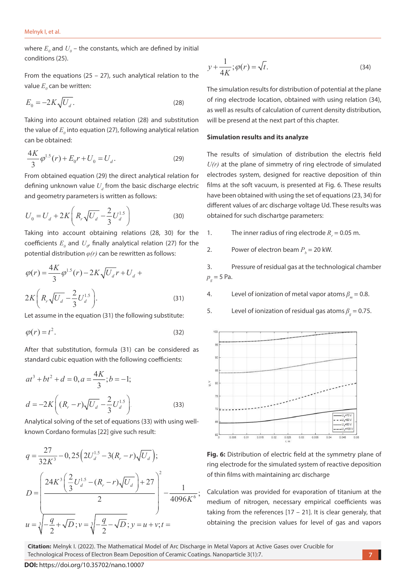where  $E_{\rho}$  and  $U_{\rho}$  – the constants, which are defined by initial conditions (25).

From the equations (25 – 27), such analytical relation to the  $y + \frac{1}{4K}$ ;  $\varphi(r) = \sqrt{t}$ . value  $E_{_\theta}$  can be written:

$$
E_0 = -2K\sqrt{U_d}.
$$
\n(28)

Taking into account obtained relation (28) and substitution the value of  $E_{_\theta}$  into equation (27), following analytical relation can be obtained:

$$
\frac{4K}{3}\varphi^{1.5}(r) + E_0r + U_0 = U_d.
$$
 (29)

From obtained equation (29) the direct analytical relation for defining unknown value  $U_{d}$  from the basic discharge electric and geometry parameters is written as follows:

$$
U_0 = U_d + 2K \left( R_r \sqrt{U_d} - \frac{2}{3} U_d^{1.5} \right)
$$
 (30)

Taking into account obtaining relations (28, 30) for the coefficients  $E_{\rho}$  and  $U_{\rho'}$  finally analytical relation (27) for the potential distribution *φ(r)* can be rewritten as follows:

$$
\varphi(r) = \frac{4K}{3} \varphi^{1.5}(r) - 2K\sqrt{U_d} r + U_d +
$$
  
2K $\left(R_r\sqrt{U_d} - \frac{2}{3}U_d^{1.5}\right)$ . (31)

Let assume in the equation (31) the following substitute:

$$
\varphi(r) = t^2. \tag{32}
$$

After that substitution, formula (31) can be considered as standard cubic equation with the following coefficients:

$$
at^{3} + bt^{2} + d = 0, a = \frac{4K}{3}; b = -1;
$$
\n
$$
d = -2K\left((R_{r} - r)\sqrt{U_{d}} - \frac{2}{3}U_{d}^{1.5}\right)
$$
\n(33)

Analytical solving of the set of equations (33) with using wellknown Cordano formulas [22] give such result:

$$
q = \frac{27}{32K^3} - 0,25(2U_d^{1.5} - 3(R_r - r)\sqrt{U_d});
$$
  
\n
$$
D = \left(\frac{24K^3(\frac{2}{3}U_d^{1.5} - (R_r - r)\sqrt{U_d}) + 27}{2}\right)^2 - \frac{1}{4096K^6};
$$
  
\n
$$
u = \sqrt[3]{-\frac{q}{2} + \sqrt{D}}; v = \sqrt[3]{-\frac{q}{2} - \sqrt{D}}; y = u + v; t =
$$
  
\n
$$
u = \sqrt[3]{-\frac{q}{2} + \sqrt{D}}; v = \sqrt[3]{-\frac{q}{2} - \sqrt{D}}; y = u + v; t =
$$
  
\n
$$
u = \sqrt[3]{-\frac{q}{2} + \sqrt{D}}; v = \sqrt[3]{-\frac{q}{2} - \sqrt{D}}; y = u + v; t =
$$
  
\n
$$
u = \sqrt[3]{-\frac{q}{2} + \sqrt{D}}; v = \sqrt[3]{-\frac{q}{2} - \sqrt{D}}; y = u + v; t =
$$
  
\n
$$
u = \sqrt[3]{-\frac{q}{2} + \sqrt{D}}; v = \sqrt[3]{-\frac{q}{2} - \sqrt{D}}; y = u + v; t =
$$

$$
y + \frac{1}{4K}; \varphi(r) = \sqrt{t}.
$$
 (34)

The simulation results for distribution of potential at the plane of ring electrode location, obtained with using relation (34), as well as results of calculation of current density distribution, will be presend at the next part of this chapter.

#### **Simulation results and its analyze**

The results of simulation of distribution the electris field *U(r)* at the plane of simmetry of ring electrode of simulated electrodes system, designed for reactive deposition of thin films at the soft vacuum, is presented at Fig. 6. These results have been obtained with using the set of equations (23, 34) for different values of arc discharge voltage Ud. These results was obtained for such dischartge parameters:

1. The inner radius of ring electrode  $R_r = 0.05$  m.

2. Power of electron beam  $P_b = 20$  kW.

3. Pressure of residual gas at the technological chamber  $p_{g}$  = 5 Pa.

4. Level of ionization of metal vapor atoms  $β<sub>m</sub> = 0.8$ .

5. Level of ionization of residual gas atoms  $\beta_g = 0.75$ .





Calculation was provided for evaporation of titanium at the medium of nitrogen, necessary empirical coefficients was taking from the references  $[17 - 21]$ . It is clear generaly, that obtaining the precision values for level of gas and vapors

**Citation:** Melnyk I. (2022). The Mathematical Model of Arc Discharge in Metal Vapors at Active Gases over Crucible for Technological Process of Electron Beam Deposition of Ceramic Coatings. Nanoparticle 3(1):7.

**DOI:** https://doi.org/10.35702/nano.10007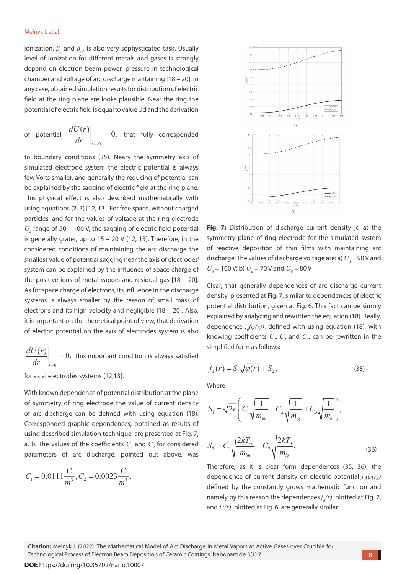ionization,  $β_g$  and  $β_{m'}$  is also very sophysticated task. Usually level of ionization for different metals and gases is strongly depend on electron beam power, pressure in technological chamber and voltage of arc discharge mantaining [18 – 20]. In any case, obtained simulation results for distribution of electric field at the ring plane are looks plausible. Near the ring the potential of electric field is equal to value Ud and the derivation

of potential 
$$
\left. \frac{dU(r)}{dr} \right|_{r=R_r} = 0
$$
, that fully corresponded

to boundary conditions (25). Neary the symmetry axis of simulated electrode system the electric potential is always few Volts smaller, and generally the reducing of potential can be explained by the sagging of electric field at the ring plane. This physical effect is also described mathematically with using equations (2, 3) [12, 13]. For free space, without charged particles, and for the values of voltage at the ring electrode  $U_d$  range of 50 – 100 V, the sagging of electric field potential is generally grater, up to 15 – 20 V [12, 13]. Therefore, in the considered conditions of maintaining the arc discharge the smallest value of potential sagging near the axis of electrodes' system can be explained by the influence of space charge of the positive ions of metal vapors and residual gas  $[18 - 20]$ . As for space charge of electrons, its influence in the discharge systems is always smaller by the reason of small mass of electrons and its high velocity and negligible [18 – 20]. Also, it is important on the theoretical point of view, that derivation of electric potential on the axis of electrodes system is also

 $\mathbf{0}$  $\frac{(r)}{r}$  = 0. *r dU r*  $\frac{dr}{r}$  =  $= 0$ . This important condition is always satisfied

for axial electrodes systems [12,13].

With known dependence of potential distribution at the plane of symmetry of ring electrode the value of current density of arc discharge can be defined with using equation (18). Corresponded graphic dependences, obtained as results of using described simulation technique, are presented at Fig. 7,<br> a, b. The values of the coefficients  $C_1$  and  $C_2$  for considered  $S_2 = C_1 \sqrt{\frac{2kT_{ev}}{T}} + C_2 \sqrt{\frac{2kT_0}{T}}$ .  $\begin{array}{cc} \n\therefore & \text{if } \mathcal{L}_2 \text{ is a matrix} \\
\text{parameters of arc discharge, pointed out above, was}\n\end{array}$ 

$$
C_1 = 0.0111 \frac{\text{C}}{m^3}, C_2 = 0.0023 \frac{\text{C}}{m^3}.
$$



**Fig. 7:** Distribution of discharge current density jd at the symmetry plane of ring electrode for the simulated system of reactive deposition of thin films with maintaining arc discharge. The values of discharge voltage are: a)  $U_d$  = 90 V and  $U_d$  = 100 V; b)  $U_d$  = 70 V and  $U_d$  = 80 V

Clear, that generally dependences of arc discharge current density, presented at Fig. 7, similar to dependences of electric potential distribution, given at Fig. 6. This fact can be simply explained by analyzing and rewritten the equation (18). Really, dependence  $j_d(\varphi(r))$ , defined with using equation (18), with knowing coefficients  $C_p$ ,  $C_2$  and  $C_{3}$ , can be rewritten in the simplified form as follows:

$$
j_d(r) = S_1 \sqrt{\varphi(r)} + S_2, \qquad (35)
$$

Where

ode the value of current density  
\nefined with using equation (18).  
\nendences, obtained as results of  
\ntechnique, are presented at Fig. 7,  
\nficients 
$$
C_1
$$
 and  $C_2$  for considered  
\n
$$
S_2 = C_1 \sqrt{\frac{2kT_{ev}}{m_{im}}} + C_2 \sqrt{\frac{2kT_0}{m_{ig}}}.
$$
\n(36)  
\n
$$
S_3 = C_1 \sqrt{\frac{2kT_{ev}}{m_{im}}} + C_2 \sqrt{\frac{2kT_0}{m_{ig}}}.
$$

 Therefore, as it is clear form dependences (35, 36), the dependence of current density on electric potential  $j_d(\varphi(r))$ defined by the constantly grows mathematic function and namely by this reason the dependences*j d (r)*, plotted at Fig. 7, and *U(r)*, plotted at Fig. 6, are generally similar.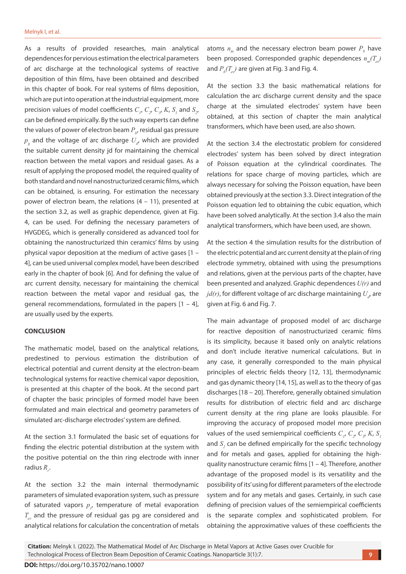As a results of provided researches, main analytical dependences for pervious estimation the electrical parameters of arc discharge at the technological systems of reactive deposition of thin films, have been obtained and described in this chapter of book. For real systems of films deposition, which are put into operation at the industrial equipment, more precision values of model coefficients  $C_p$ ,  $C_p$ ,  $C_s$ ,  $K$ ,  $S_1$  and  $S_2$ , can be defined empirically. By the such way experts can define the values of power of electron beam  $P_{b\prime}$  residual gas pressure  $p_{g}^{\parallel}$  and the voltage of arc discharge  $U_{d'}^{\parallel}$  which are provided the suitable current density jd for maintaining the chemical reaction between the metal vapors and residual gases. As a result of applying the proposed model, the required quality of both standard and novel nanostructurized ceramic films, which can be obtained, is ensuring. For estimation the necessary power of electron beam, the relations (4 – 11), presented at the section 3.2, as well as graphic dependence, given at Fig. 4, can be used. For defining the necessary parameters of HVGDEG, which is generally considered as advanced tool for obtaining the nanostructurized thin ceramics' films by using physical vapor deposition at the medium of active gases [1 – 4], can be used universal complex model, have been described early in the chapter of book [6]. And for defining the value of arc current density, necessary for maintaining the chemical reaction between the metal vapor and residual gas, the general recommendations, formulated in the papers [1 – 4], are usually used by the experts.

#### **CONCLUSION**

The mathematic model, based on the analytical relations, predestined to pervious estimation the distribution of electrical potential and current density at the electron-beam technological systems for reactive chemical vapor deposition, is presented at this chapter of the book. At the second part of chapter the basic principles of formed model have been formulated and main electrical and geometry parameters of simulated arc-discharge electrodes' system are defined.

At the section 3.1 formulated the basic set of equations for finding the electric potential distribution at the system with the positive potential on the thin ring electrode with inner radius R<sub>r</sub>.

At the section 3.2 the main internal thermodynamic parameters of simulated evaporation system, such as pressure of saturated vapors  $p_{s'}$  temperature of metal evaporation  $T_{ev}$  and the pressure of residual gas pg are considered and analytical relations for calculation the concentration of metals

atoms  $n_m$  and the necessary electron beam power  $P_b$  have been proposed. Corresponded graphic dependences  $n_T(T)$ and  $P_{\scriptscriptstyle b}(T_{\scriptscriptstyle e\!v})$  are given at Fig. 3 and Fig. 4.

At the section 3.3 the basic mathematical relations for calculation the arc discharge current density and the space charge at the simulated electrodes' system have been obtained, at this section of chapter the main analytical transformers, which have been used, are also shown.

At the section 3.4 the electrostatic problem for considered electrodes' system has been solved by direct integration of Poisson equation at the cylindrical coordinates. The relations for space charge of moving particles, which are always necessary for solving the Poisson equation, have been obtained previously at the section 3.3. Direct integration of the Poisson equation led to obtaining the cubic equation, which have been solved analytically. At the section 3.4 also the main analytical transformers, which have been used, are shown.

At the section 4 the simulation results for the distribution of the electric potential and arc current density at the plain of ring electrode symmetry, obtained with using the presumptions and relations, given at the pervious parts of the chapter, have been presented and analyzed. Graphic dependences *U(r)* and  $j$ *d(r)*, for different voltage of arc discharge maintaining  $U_{_{d'}}$  are given at Fig. 6 and Fig. 7.

The main advantage of proposed model of arc discharge for reactive deposition of nanostructurized ceramic films is its simplicity, because it based only on analytic relations and don't include iterative numerical calculations. But in any case, it generally corresponded to the main physical principles of electric fields theory [12, 13], thermodynamic and gas dynamic theory [14, 15], as well as to the theory of gas discharges [18 – 20]. Therefore, generally obtained simulation results for distribution of electric field and arc discharge current density at the ring plane are looks plausible. For improving the accuracy of proposed model more precision values of the used semiempirical coefficients  $C_{I}$ ,  $C_{2}$ ,  $C_{3}$ ,  $K$ ,  $S_{I}$ and  $S<sub>2</sub>$  can be defined empirically for the specific technology and for metals and gases, applied for obtaining the highquality nanostructure ceramic films [1 – 4]. Therefore, another advantage of the proposed model is its versatility and the possibility of its' using for different parameters of the electrode system and for any metals and gases. Certainly, in such case defining of precision values of the semiempirical coefficients is the separate complex and sophisticated problem. For obtaining the approximative values of these coefficients the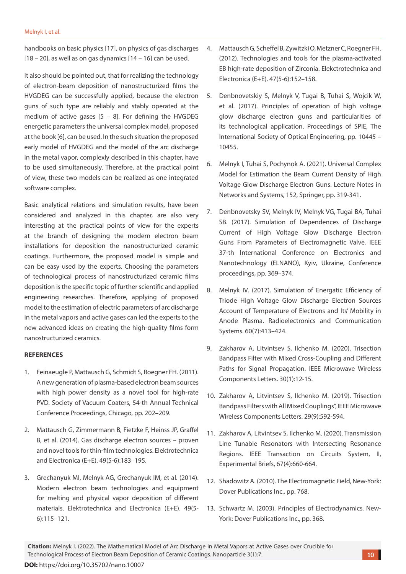handbooks on basic physics [17], on physics of gas discharges  $[18 - 20]$ , as well as on gas dynamics  $[14 - 16]$  can be used.

It also should be pointed out, that for realizing the technology of electron-beam deposition of nanostructurized films the HVGDEG can be successfully applied, because the electron guns of such type are reliably and stably operated at the medium of active gases  $[5 - 8]$ . For defining the HVGDEG energetic parameters the universal complex model, proposed at the book [6], can be used. In the such situation the proposed early model of HVGDEG and the model of the arc discharge in the metal vapor, complexly described in this chapter, have to be used simultaneously. Therefore, at the practical point of view, these two models can be realized as one integrated software complex.

Basic analytical relations and simulation results, have been considered and analyzed in this chapter, are also very interesting at the practical points of view for the experts at the branch of designing the modern electron beam installations for deposition the nanostructurized ceramic coatings. Furthermore, the proposed model is simple and can be easy used by the experts. Choosing the parameters of technological process of nanostructurized ceramic films deposition is the specific topic of further scientific and applied engineering researches. Therefore, applying of proposed model to the estimation of electric parameters of arc discharge in the metal vapors and active gases can led the experts to the new advanced ideas on creating the high-quality films form nanostructurized ceramics.

## **REFERENCES**

- 1. Feinaeugle P, Mattausch G, Schmidt S, Roegner FH. (2011). A new generation of plasma-based electron beam sources with high power density as a novel tool for high-rate PVD. Society of Vacuum Coaters, 54-th Annual Technical Conference Proceedings, Chicago, pp. 202–209.
- 2. Mattausch G, Zimmermann B, Fietzke F, Heinss JP, Graffel B, et al. (2014). Gas discharge electron sources – proven and novel tools for thin-film technologies. Elektrotechnica and Electronica (E+E). 49(5-6):183–195.
- 3. Grechanyuk MI, Melnyk AG, Grechanyuk IM, et al. (2014). Modern electron beam technologies and equipment for melting and physical vapor deposition of different materials. Elektrotechnica and Electronica (E+E). 49(5- 6):115–121.
- 4. Mattausch G, Scheffel B, Zywitzki O, Metzner C, Roegner FH. (2012). Technologies and tools for the plasma-activated EB high-rate deposition of Zirconia. Elekctrotechnica and Electronica (E+E). 47(5-6):152–158.
- 5. Denbnovetskiy S, Melnyk V, Tugai B, Tuhai S, Wojcik W, et al. (2017). Principles of operation of high voltage glow discharge electron guns and particularities of its technological application. Proceedings of SPIE, The International Society of Optical Engineering, pp. 10445 – 10455.
- 6. Melnyk I, Tuhai S, Pochynok A. (2021). Universal Complex Model for Estimation the Beam Current Density of High Voltage Glow Discharge Electron Guns. Lecture Notes in Networks and Systems, 152, Springer, pp. 319-341.
- 7. Denbnovetsky SV, Melnyk IV, Melnyk VG, Tugai BA, Tuhai SB. (2017). Simulation of Dependences of Discharge Current of High Voltage Glow Discharge Electron Guns From Parameters of Electromagnetic Valve. IEEE 37-th International Conference on Electronics and Nanotechnology (ELNANO), Kyiv, Ukraine, Conference proceedings, pp. 369–374.
- 8. Melnyk IV. (2017). Simulation of Energatic Efficiency of Triode High Voltage Glow Discharge Electron Sources Account of Temperature of Electrons and Its' Mobility in Anode Plasma. Radioelectronics and Communication Systems. 60(7):413–424.
- 9. Zakharov A, Litvintsev S, Ilchenko M. (2020). Trisection Bandpass Filter with Mixed Cross-Coupling and Different Paths for Signal Propagation. IEEE Microwave Wireless Components Letters. 30(1):12-15.
- 10. Zakharov A, Litvintsev S, Ilchenko M. (2019). Trisection Bandpass Filters with All Mixed Couplings", IEEE Microwave Wireless Components Letters. 29(9):592-594.
- 11. Zakharov A, Litvintsev S, Ilchenko M. (2020). Transmission Line Tunable Resonators with Intersecting Resonance Regions. IEEE Transaction on Circuits System, II, Experimental Briefs, 67(4):660-664.
- 12. Shadowitz A. (2010). The Electromagnetic Field, New-York: Dover Publications Inc., pp. 768.
- 13. Schwartz M. (2003). Principles of Electrodynamics. New-York: Dover Publications Inc., pp. 368.

**Citation:** Melnyk I. (2022). The Mathematical Model of Arc Discharge in Metal Vapors at Active Gases over Crucible for Technological Process of Electron Beam Deposition of Ceramic Coatings. Nanoparticle 3(1):7.